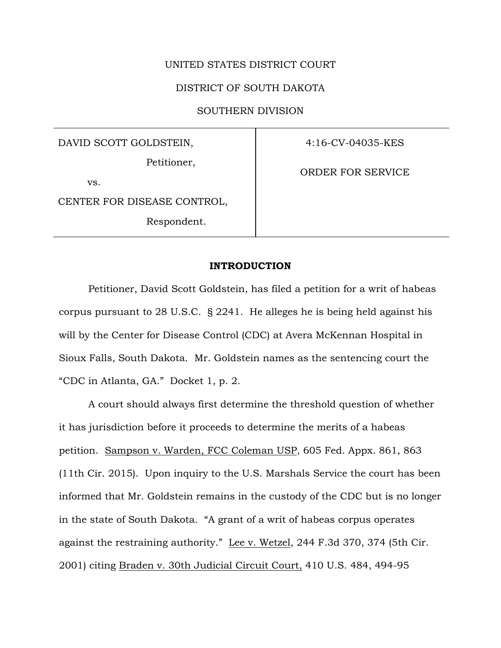## UNITED STATES DISTRICT COURT

## DISTRICT OF SOUTH DAKOTA

SOUTHERN DIVISION

DAVID SCOTT GOLDSTEIN,

Petitioner,

vs.

CENTER FOR DISEASE CONTROL,

Respondent.

4:16-CV-04035-KES

ORDER FOR SERVICE

## **INTRODUCTION**

Petitioner, David Scott Goldstein, has filed a petition for a writ of habeas corpus pursuant to 28 U.S.C. § 2241. He alleges he is being held against his will by the Center for Disease Control (CDC) at Avera McKennan Hospital in Sioux Falls, South Dakota. Mr. Goldstein names as the sentencing court the "CDC in Atlanta, GA." Docket 1, p. 2.

A court should always first determine the threshold question of whether it has jurisdiction before it proceeds to determine the merits of a habeas petition. Sampson v. Warden, FCC Coleman USP, 605 Fed. Appx. 861, 863 (11th Cir. 2015). Upon inquiry to the U.S. Marshals Service the court has been informed that Mr. Goldstein remains in the custody of the CDC but is no longer in the state of South Dakota. "A grant of a writ of habeas corpus operates against the restraining authority." Lee v. Wetzel, 244 F.3d 370, 374 (5th Cir. 2001) citing Braden v. 30th Judicial Circuit Court, 410 U.S. 484, 494-95